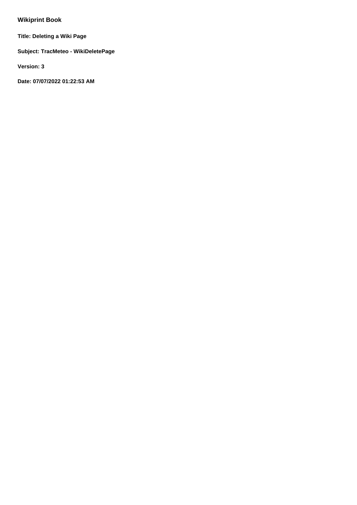## **Wikiprint Book**

**Title: Deleting a Wiki Page**

**Subject: TracMeteo - WikiDeletePage**

**Version: 3**

**Date: 07/07/2022 01:22:53 AM**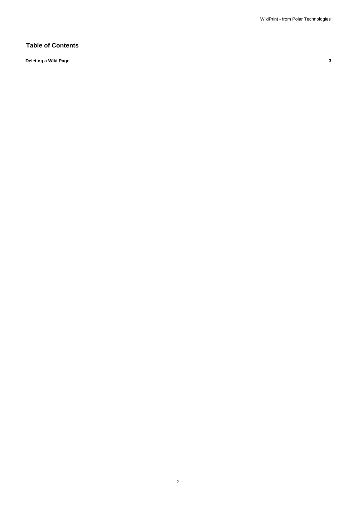## **Table of Contents**

**Deleting a Wiki Page 3**